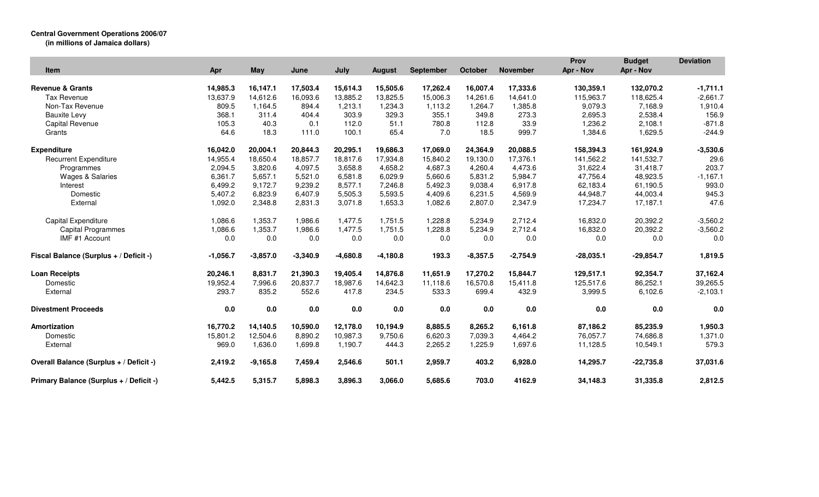## **Central Government Operations 2006/07**

| (in millions of Jamaica dollars) |  |
|----------------------------------|--|
|----------------------------------|--|

|                                         |            |            |            |            |               |                  |            |                 | Prov        | <b>Budget</b> | <b>Deviation</b> |
|-----------------------------------------|------------|------------|------------|------------|---------------|------------------|------------|-----------------|-------------|---------------|------------------|
| Item                                    | Apr        | <b>May</b> | June       | July       | <b>August</b> | <b>September</b> | October    | <b>November</b> | Apr - Nov   | Apr - Nov     |                  |
| <b>Revenue &amp; Grants</b>             | 14,985.3   | 16,147.1   | 17,503.4   | 15,614.3   | 15,505.6      | 17,262.4         | 16,007.4   | 17,333.6        | 130,359.1   | 132,070.2     | $-1,711.1$       |
| <b>Tax Revenue</b>                      |            |            | 16.093.6   | 13.885.2   |               |                  |            |                 | 115.963.7   |               |                  |
|                                         | 13,637.9   | 14,612.6   |            |            | 13,825.5      | 15,006.3         | 14,261.6   | 14,641.0        |             | 118,625.4     | $-2,661.7$       |
| Non-Tax Revenue                         | 809.5      | 1,164.5    | 894.4      | 1,213.1    | 1,234.3       | 1,113.2          | 1,264.7    | 1,385.8         | 9,079.3     | 7,168.9       | 1,910.4          |
| <b>Bauxite Levy</b>                     | 368.1      | 311.4      | 404.4      | 303.9      | 329.3         | 355.1            | 349.8      | 273.3           | 2,695.3     | 2,538.4       | 156.9            |
| Capital Revenue                         | 105.3      | 40.3       | 0.1        | 112.0      | 51.1          | 780.8            | 112.8      | 33.9            | 1,236.2     | 2,108.1       | $-871.8$         |
| Grants                                  | 64.6       | 18.3       | 111.0      | 100.1      | 65.4          | 7.0              | 18.5       | 999.7           | 1,384.6     | 1,629.5       | $-244.9$         |
| <b>Expenditure</b>                      | 16,042.0   | 20,004.1   | 20,844.3   | 20,295.1   | 19,686.3      | 17,069.0         | 24,364.9   | 20,088.5        | 158,394.3   | 161,924.9     | $-3,530.6$       |
| <b>Recurrent Expenditure</b>            | 14,955.4   | 18,650.4   | 18,857.7   | 18,817.6   | 17,934.8      | 15,840.2         | 19,130.0   | 17,376.1        | 141,562.2   | 141,532.7     | 29.6             |
| Programmes                              | 2,094.5    | 3,820.6    | 4,097.5    | 3,658.8    | 4,658.2       | 4,687.3          | 4,260.4    | 4,473.6         | 31,622.4    | 31,418.7      | 203.7            |
| Wages & Salaries                        | 6,361.7    | 5,657.1    | 5,521.0    | 6,581.8    | 6,029.9       | 5,660.6          | 5,831.2    | 5,984.7         | 47,756.4    | 48,923.5      | $-1,167.1$       |
| Interest                                | 6,499.2    | 9,172.7    | 9,239.2    | 8,577.1    | 7,246.8       | 5,492.3          | 9,038.4    | 6,917.8         | 62,183.4    | 61,190.5      | 993.0            |
| Domestic                                | 5,407.2    | 6,823.9    | 6,407.9    | 5,505.3    | 5,593.5       | 4,409.6          | 6,231.5    | 4,569.9         | 44,948.7    | 44,003.4      | 945.3            |
| External                                | 1,092.0    | 2,348.8    | 2,831.3    | 3,071.8    | 1,653.3       | 1,082.6          | 2,807.0    | 2,347.9         | 17,234.7    | 17,187.1      | 47.6             |
| Capital Expenditure                     | 1,086.6    | 1,353.7    | 1,986.6    | 1,477.5    | 1,751.5       | 1,228.8          | 5,234.9    | 2,712.4         | 16,832.0    | 20,392.2      | $-3,560.2$       |
| <b>Capital Programmes</b>               | 1,086.6    | 1,353.7    | 1,986.6    | 1,477.5    | 1,751.5       | 1,228.8          | 5,234.9    | 2,712.4         | 16,832.0    | 20,392.2      | $-3,560.2$       |
| IMF #1 Account                          | 0.0        | 0.0        | 0.0        | 0.0        | 0.0           | 0.0              | 0.0        | 0.0             | 0.0         | 0.0           | 0.0              |
| Fiscal Balance (Surplus + / Deficit -)  | $-1,056.7$ | $-3,857.0$ | $-3,340.9$ | $-4,680.8$ | $-4,180.8$    | 193.3            | $-8,357.5$ | $-2,754.9$      | $-28,035.1$ | $-29,854.7$   | 1,819.5          |
| <b>Loan Receipts</b>                    | 20,246.1   | 8,831.7    | 21,390.3   | 19,405.4   | 14,876.8      | 11,651.9         | 17,270.2   | 15,844.7        | 129,517.1   | 92,354.7      | 37,162.4         |
| Domestic                                | 19,952.4   | 7,996.6    | 20,837.7   | 18,987.6   | 14,642.3      | 11,118.6         | 16,570.8   | 15,411.8        | 125,517.6   | 86,252.1      | 39,265.5         |
| External                                | 293.7      | 835.2      | 552.6      | 417.8      | 234.5         | 533.3            | 699.4      | 432.9           | 3,999.5     | 6,102.6       | $-2,103.1$       |
| <b>Divestment Proceeds</b>              | 0.0        | 0.0        | 0.0        | 0.0        | 0.0           | 0.0              | 0.0        | 0.0             | 0.0         | 0.0           | 0.0              |
| Amortization                            | 16,770.2   | 14,140.5   | 10,590.0   | 12,178.0   | 10,194.9      | 8,885.5          | 8,265.2    | 6,161.8         | 87,186.2    | 85,235.9      | 1,950.3          |
| Domestic                                | 15,801.2   | 12,504.6   | 8,890.2    | 10,987.3   | 9,750.6       | 6,620.3          | 7,039.3    | 4,464.2         | 76,057.7    | 74,686.8      | 1,371.0          |
| External                                | 969.0      | 1,636.0    | 1,699.8    | 1,190.7    | 444.3         | 2,265.2          | 1,225.9    | 1,697.6         | 11,128.5    | 10,549.1      | 579.3            |
|                                         |            |            |            |            |               |                  |            |                 |             |               |                  |
| Overall Balance (Surplus + / Deficit -) | 2,419.2    | $-9,165.8$ | 7,459.4    | 2,546.6    | 501.1         | 2,959.7          | 403.2      | 6,928.0         | 14,295.7    | $-22,735.8$   | 37,031.6         |
| Primary Balance (Surplus + / Deficit -) | 5,442.5    | 5,315.7    | 5,898.3    | 3,896.3    | 3,066.0       | 5,685.6          | 703.0      | 4162.9          | 34,148.3    | 31,335.8      | 2,812.5          |